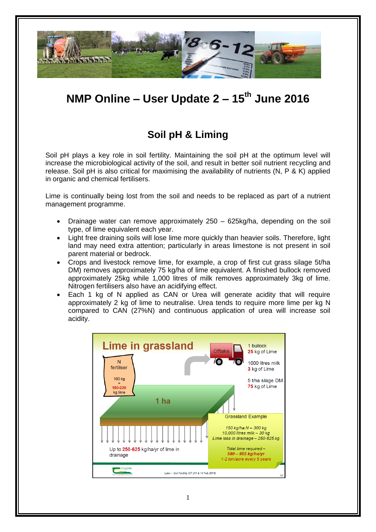

# **NMP Online – User Update 2 – 15th June 2016**

## **Soil pH & Liming**

Soil pH plays a key role in soil fertility. Maintaining the soil pH at the optimum level will increase the microbiological activity of the soil, and result in better soil nutrient recycling and release. Soil pH is also critical for maximising the availability of nutrients (N, P & K) applied in organic and chemical fertilisers.

Lime is continually being lost from the soil and needs to be replaced as part of a nutrient management programme.

- Drainage water can remove approximately 250 625kg/ha, depending on the soil type, of lime equivalent each year.
- Light free draining soils will lose lime more quickly than heavier soils. Therefore, light land may need extra attention; particularly in areas limestone is not present in soil parent material or bedrock.
- Crops and livestock remove lime, for example, a crop of first cut grass silage 5t/ha DM) removes approximately 75 kg/ha of lime equivalent. A finished bullock removed approximately 25kg while 1,000 litres of milk removes approximately 3kg of lime. Nitrogen fertilisers also have an acidifying effect.
- Each 1 kg of N applied as CAN or Urea will generate acidity that will require approximately 2 kg of lime to neutralise. Urea tends to require more lime per kg N compared to CAN (27%N) and continuous application of urea will increase soil acidity.

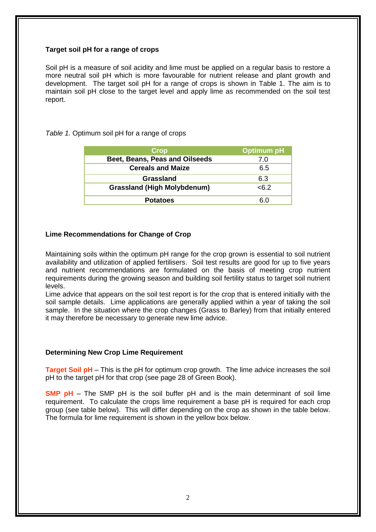#### **Target soil pH for a range of crops**

Soil pH is a measure of soil acidity and lime must be applied on a regular basis to restore a more neutral soil pH which is more favourable for nutrient release and plant growth and development. The target soil pH for a range of crops is shown in Table 1. The aim is to maintain soil pH close to the target level and apply lime as recommended on the soil test report.

*Table 1.* Optimum soil pH for a range of crops

| <b>Crop</b>                        | <b>Optimum pH</b> |
|------------------------------------|-------------------|
| Beet, Beans, Peas and Oilseeds     | 7.0               |
| <b>Cereals and Maize</b>           | 6.5               |
| <b>Grassland</b>                   | 6.3               |
| <b>Grassland (High Molybdenum)</b> | <6.2              |
| <b>Potatoes</b>                    | 6 በ               |

## **Lime Recommendations for Change of Crop**

Maintaining soils within the optimum pH range for the crop grown is essential to soil nutrient availability and utilization of applied fertilisers. Soil test results are good for up to five years and nutrient recommendations are formulated on the basis of meeting crop nutrient requirements during the growing season and building soil fertility status to target soil nutrient levels.

Lime advice that appears on the soil test report is for the crop that is entered initially with the soil sample details. Lime applications are generally applied within a year of taking the soil sample. In the situation where the crop changes (Grass to Barley) from that initially entered it may therefore be necessary to generate new lime advice.

#### **Determining New Crop Lime Requirement**

**Target Soil pH** – This is the pH for optimum crop growth. The lime advice increases the soil pH to the target pH for that crop (see page 28 of Green Book).

**SMP pH** – The SMP pH is the soil buffer pH and is the main determinant of soil lime requirement. To calculate the crops lime requirement a base pH is required for each crop group (see table below). This will differ depending on the crop as shown in the table below. The formula for lime requirement is shown in the yellow box below.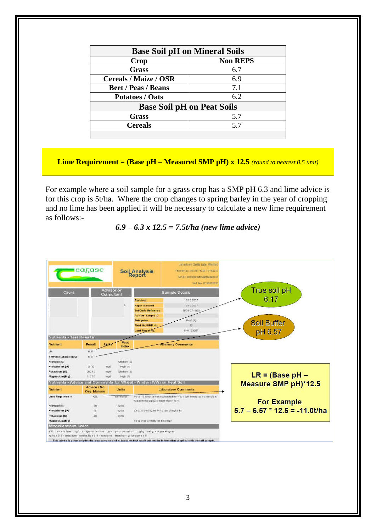| <b>Base Soil pH on Mineral Soils</b> |                 |  |
|--------------------------------------|-----------------|--|
| Crop                                 | <b>Non REPS</b> |  |
| <b>Grass</b>                         | 6.7             |  |
| <b>Cereals / Maize / OSR</b>         | 6.9             |  |
| <b>Beet / Peas / Beans</b>           | 7.1             |  |
| <b>Potatoes / Oats</b>               | 6.2             |  |
| <b>Base Soil pH on Peat Soils</b>    |                 |  |
| Grass                                | 5.7             |  |
| <b>Cereals</b>                       | 5.7             |  |
|                                      |                 |  |

**Lime Requirement = (Base pH – Measured SMP pH) x 12.5** *(round to nearest 0.5 unit)*

For example where a soil sample for a grass crop has a SMP pH 6.3 and lime advice is for this crop is 5t/ha. Where the crop changes to spring barley in the year of cropping and no lime has been applied it will be necessary to calculate a new lime requirement as follows:-

## *6.9 – 6.3 x 12.5 = 7.5t/ha (new lime advice)*

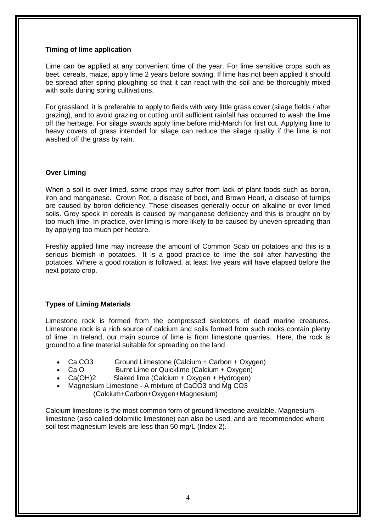#### **Timing of lime application**

Lime can be applied at any convenient time of the year. For lime sensitive crops such as beet, cereals, maize, apply lime 2 years before sowing. If lime has not been applied it should be spread after spring ploughing so that it can react with the soil and be thoroughly mixed with soils during spring cultivations.

For grassland, it is preferable to apply to fields with very little grass cover (silage fields / after grazing), and to avoid grazing or cutting until sufficient rainfall has occurred to wash the lime off the herbage. For silage swards apply lime before mid-March for first cut. Applying lime to heavy covers of grass intended for silage can reduce the silage quality if the lime is not washed off the grass by rain.

## **Over Liming**

When a soil is over limed, some crops may suffer from lack of plant foods such as boron, iron and manganese. Crown Rot, a disease of beet, and Brown Heart, a disease of turnips are caused by boron deficiency. These diseases generally occur on alkaline or over limed soils. Grey speck in cereals is caused by manganese deficiency and this is brought on by too much lime. In practice, over liming is more likely to be caused by uneven spreading than by applying too much per hectare.

Freshly applied lime may increase the amount of Common Scab on potatoes and this is a serious blemish in potatoes. It is a good practice to lime the soil after harvesting the potatoes. Where a good rotation is followed, at least five years will have elapsed before the next potato crop.

## **Types of Liming Materials**

Limestone rock is formed from the compressed skeletons of dead marine creatures. Limestone rock is a rich source of calcium and soils formed from such rocks contain plenty of lime. In Ireland, our main source of lime is from limestone quarries. Here, the rock is ground to a fine material suitable for spreading on the land

- Ca CO3 Ground Limestone (Calcium + Carbon + Oxygen)
- Ca O Burnt Lime or Quicklime (Calcium + Oxygen)
- Ca(OH)2 Slaked lime (Calcium + Oxygen + Hydrogen)
- Magnesium Limestone A mixture of CaCO3 and Mg CO3 (Calcium+Carbon+Oxygen+Magnesium)

Calcium limestone is the most common form of ground limestone available. Magnesium limestone (also called dolomitic limestone) can also be used, and are recommended where soil test magnesium levels are less than 50 mg/L (Index 2).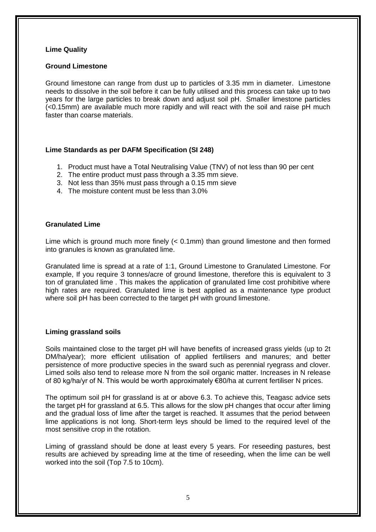#### **Lime Quality**

#### **Ground Limestone**

Ground limestone can range from dust up to particles of 3.35 mm in diameter. Limestone needs to dissolve in the soil before it can be fully utilised and this process can take up to two years for the large particles to break down and adjust soil pH. Smaller limestone particles (<0.15mm) are available much more rapidly and will react with the soil and raise pH much faster than coarse materials.

#### **Lime Standards as per DAFM Specification (SI 248)**

- 1. Product must have a Total Neutralising Value (TNV) of not less than 90 per cent
- 2. The entire product must pass through a 3.35 mm sieve.
- 3. Not less than 35% must pass through a 0.15 mm sieve
- 4. The moisture content must be less than 3.0%

## **Granulated Lime**

Lime which is ground much more finely (< 0.1mm) than ground limestone and then formed into granules is known as granulated lime.

Granulated lime is spread at a rate of 1:1, Ground Limestone to Granulated Limestone. For example, If you require 3 tonnes/acre of ground limestone, therefore this is equivalent to 3 ton of granulated lime . This makes the application of granulated lime cost prohibitive where high rates are required. Granulated lime is best applied as a maintenance type product where soil pH has been corrected to the target pH with ground limestone.

## **Liming grassland soils**

Soils maintained close to the target pH will have benefits of increased grass yields (up to 2t DM/ha/year); more efficient utilisation of applied fertilisers and manures; and better persistence of more productive species in the sward such as perennial ryegrass and clover. Limed soils also tend to release more N from the soil organic matter. Increases in N release of 80 kg/ha/yr of N. This would be worth approximately €80/ha at current fertiliser N prices.

The optimum soil pH for grassland is at or above 6.3. To achieve this, Teagasc advice sets the target pH for grassland at 6.5. This allows for the slow pH changes that occur after liming and the gradual loss of lime after the target is reached. It assumes that the period between lime applications is not long. Short-term leys should be limed to the required level of the most sensitive crop in the rotation.

Liming of grassland should be done at least every 5 years. For reseeding pastures, best results are achieved by spreading lime at the time of reseeding, when the lime can be well worked into the soil (Top 7.5 to 10cm).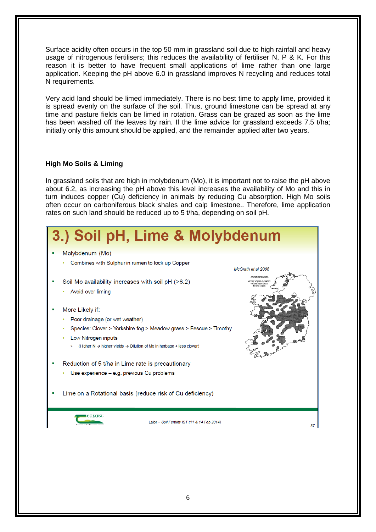Surface acidity often occurs in the top 50 mm in grassland soil due to high rainfall and heavy usage of nitrogenous fertilisers; this reduces the availability of fertiliser N, P & K. For this reason it is better to have frequent small applications of lime rather than one large application. Keeping the pH above 6.0 in grassland improves N recycling and reduces total N requirements.

Very acid land should be limed immediately. There is no best time to apply lime, provided it is spread evenly on the surface of the soil. Thus, ground limestone can be spread at any time and pasture fields can be limed in rotation. Grass can be grazed as soon as the lime has been washed off the leaves by rain. If the lime advice for grassland exceeds 7.5 t/ha; initially only this amount should be applied, and the remainder applied after two years.

## **High Mo Soils & Liming**

In grassland soils that are high in molybdenum (Mo), it is important not to raise the pH above about 6.2, as increasing the pH above this level increases the availability of Mo and this in turn induces copper (Cu) deficiency in animals by reducing Cu absorption. High Mo soils often occur on carboniferous black shales and calp limestone.. Therefore, lime application rates on such land should be reduced up to 5 t/ha, depending on soil pH.

| 3.) Soil pH, Lime & Molybdenum                                                                                                                                                                                                                                 |
|----------------------------------------------------------------------------------------------------------------------------------------------------------------------------------------------------------------------------------------------------------------|
| Molybdenum (Mo)<br>Combines with Sulphur in rumen to lock up Copper<br>McGrath et al 2008                                                                                                                                                                      |
| MOLYBDENUM<br>Soil Mo availability increases with soil pH (>6.2)<br>Areas where elevated<br>ralues have been<br>found (1998)<br>Avoid over-liming                                                                                                              |
| More Likely if:<br>Poor drainage (or wet weather)<br>Species: Clover > Yorkshire fog > Meadow grass > Fescue > Timothy<br>Low Nitrogen inputs<br>(Higher N $\rightarrow$ higher yields $\rightarrow$ Dilution of Mo in herbage + less clover)<br>$\mathcal{D}$ |
| Reduction of 5 t/ha in Lime rate is precautionary                                                                                                                                                                                                              |
| Use experience - e.g. previous Cu problems                                                                                                                                                                                                                     |
| Lime on a Rotational basis (reduce risk of Cu deficiency)                                                                                                                                                                                                      |
| :axasc<br>Lalor - Soil Fertility IST (11 & 14 Feb 2014)<br>37                                                                                                                                                                                                  |
|                                                                                                                                                                                                                                                                |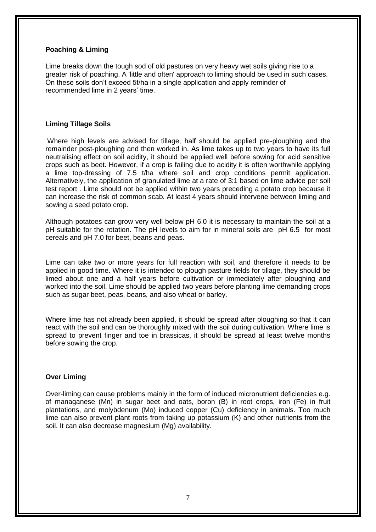#### **Poaching & Liming**

Lime breaks down the tough sod of old pastures on very heavy wet soils giving rise to a greater risk of poaching. A 'little and often' approach to liming should be used in such cases. On these soils don't exceed 5t/ha in a single application and apply reminder of recommended lime in 2 years' time.

#### **Liming Tillage Soils**

Where high levels are advised for tillage, half should be applied pre-ploughing and the remainder post-ploughing and then worked in. As lime takes up to two years to have its full neutralising effect on soil acidity, it should be applied well before sowing for acid sensitive crops such as beet. However, if a crop is failing due to acidity it is often worthwhile applying a lime top-dressing of 7.5 t/ha where soil and crop conditions permit application. Alternatively, the application of granulated lime at a rate of 3:1 based on lime advice per soil test report . Lime should not be applied within two years preceding a potato crop because it can increase the risk of common scab. At least 4 years should intervene between liming and sowing a seed potato crop.

Although potatoes can grow very well below pH 6.0 it is necessary to maintain the soil at a pH suitable for the rotation. The pH levels to aim for in mineral soils are pH 6.5 for most cereals and pH 7.0 for beet, beans and peas.

Lime can take two or more years for full reaction with soil, and therefore it needs to be applied in good time. Where it is intended to plough pasture fields for tillage, they should be limed about one and a half years before cultivation or immediately after ploughing and worked into the soil. Lime should be applied two years before planting lime demanding crops such as sugar beet, peas, beans, and also wheat or barley.

Where lime has not already been applied, it should be spread after ploughing so that it can react with the soil and can be thoroughly mixed with the soil during cultivation. Where lime is spread to prevent finger and toe in brassicas, it should be spread at least twelve months before sowing the crop.

#### **Over Liming**

Over-liming can cause problems mainly in the form of induced micronutrient deficiencies e.g. of managanese (Mn) in sugar beet and oats, boron (B) in root crops, iron (Fe) in fruit plantations, and molybdenum (Mo) induced copper (Cu) deficiency in animals. Too much lime can also prevent plant roots from taking up potassium (K) and other nutrients from the soil. It can also decrease magnesium (Mg) availability.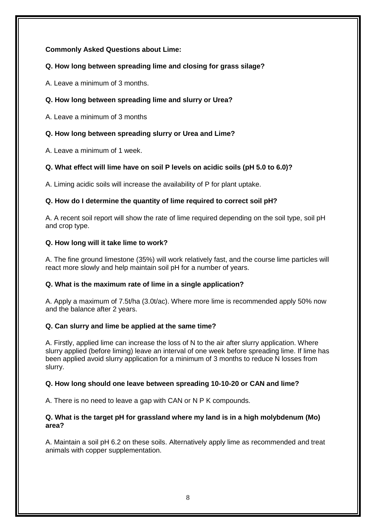## **Commonly Asked Questions about Lime:**

## **Q. How long between spreading lime and closing for grass silage?**

A. Leave a minimum of 3 months.

## **Q. How long between spreading lime and slurry or Urea?**

A. Leave a minimum of 3 months

## **Q. How long between spreading slurry or Urea and Lime?**

A. Leave a minimum of 1 week.

## **Q. What effect will lime have on soil P levels on acidic soils (pH 5.0 to 6.0)?**

A. Liming acidic soils will increase the availability of P for plant uptake.

## **Q. How do I determine the quantity of lime required to correct soil pH?**

A. A recent soil report will show the rate of lime required depending on the soil type, soil pH and crop type.

## **Q. How long will it take lime to work?**

A. The fine ground limestone (35%) will work relatively fast, and the course lime particles will react more slowly and help maintain soil pH for a number of years.

## **Q. What is the maximum rate of lime in a single application?**

A. Apply a maximum of 7.5t/ha (3.0t/ac). Where more lime is recommended apply 50% now and the balance after 2 years.

## **Q. Can slurry and lime be applied at the same time?**

A. Firstly, applied lime can increase the loss of N to the air after slurry application. Where slurry applied (before liming) leave an interval of one week before spreading lime. If lime has been applied avoid slurry application for a minimum of 3 months to reduce N losses from slurry.

## **Q. How long should one leave between spreading 10-10-20 or CAN and lime?**

A. There is no need to leave a gap with CAN or N P K compounds.

## **Q. What is the target pH for grassland where my land is in a high molybdenum (Mo) area?**

A. Maintain a soil pH 6.2 on these soils. Alternatively apply lime as recommended and treat animals with copper supplementation.